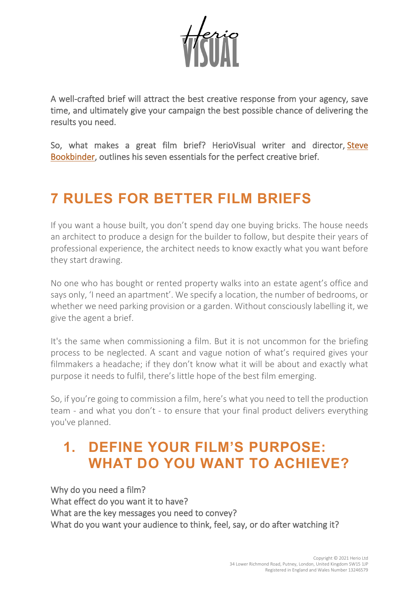

A well-crafted brief will attract the best creative response from your agency, save time, and ultimately give your campaign the best possible chance of delivering the results you need.

So, what makes a great film brief? HerioVisual writer and director, [Steve](https://heriovisual.com/our-amazing-team#aab4ed71-fafb-4c81-8932-ef4c46a158c8)  [Bookbinder,](https://heriovisual.com/our-amazing-team#aab4ed71-fafb-4c81-8932-ef4c46a158c8) outlines his seven essentials for the perfect creative brief.

# **7 RULES FOR BETTER FILM BRIEFS**

If you want a house built, you don't spend day one buying bricks. The house needs an architect to produce a design for the builder to follow, but despite their years of professional experience, the architect needs to know exactly what you want before they start drawing.

No one who has bought or rented property walks into an estate agent's office and says only, 'I need an apartment'. We specify a location, the number of bedrooms, or whether we need parking provision or a garden. Without consciously labelling it, we give the agent a brief.

It's the same when commissioning a film. But it is not uncommon for the briefing process to be neglected. A scant and vague notion of what's required gives your filmmakers a headache; if they don't know what it will be about and exactly what purpose it needs to fulfil, there's little hope of the best film emerging.

So, if you're going to commission a film, here's what you need to tell the production team - and what you don't - to ensure that your final product delivers everything you've planned.

### **1. DEFINE YOUR FILM'S PURPOSE: WHAT DO YOU WANT TO ACHIEVE?**

Why do you need a film? What effect do you want it to have? What are the key messages you need to convey? What do you want your audience to think, feel, say, or do after watching it?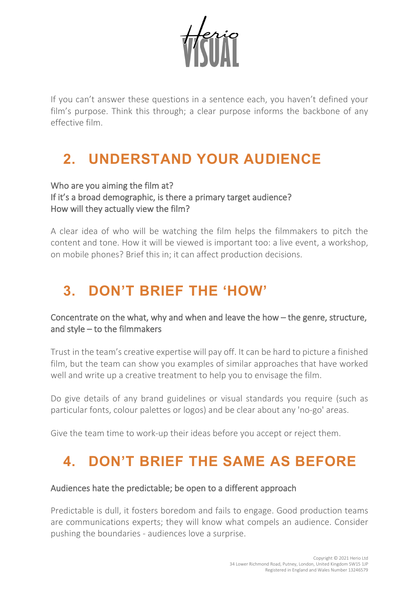

If you can't answer these questions in a sentence each, you haven't defined your film's purpose. Think this through; a clear purpose informs the backbone of any effective film.

# **2. UNDERSTAND YOUR AUDIENCE**

### Who are you aiming the film at? If it's a broad demographic, is there a primary target audience? How will they actually view the film?

A clear idea of who will be watching the film helps the filmmakers to pitch the content and tone. How it will be viewed is important too: a live event, a workshop, on mobile phones? Brief this in; it can affect production decisions.

# **3. DON'T BRIEF THE 'HOW'**

### Concentrate on the what, why and when and leave the how – the genre, structure, and style – to the filmmakers

[Trust](https://heriovisual.com/trust-me%2C-im-a-director#56e9f10f-f983-401d-814e-34a5036de8d1) in the team's creative expertise will pay off. It can be hard to picture a finished film, but the team can show you examples of similar approaches that have worked well and write up a creative treatment to help you to envisage the film.

Do give details of any brand guidelines or visual standards you require (such as particular fonts, colour palettes or logos) and be clear about any 'no-go' areas.

Give the team time to work-up their ideas before you accept or reject them.

# **4. DON'T BRIEF THE SAME AS BEFORE**

#### Audiences hate the predictable; be open to a different approach

Predictable is dull, it fosters boredom and fails to engage. Good production teams are communications experts; they will know what compels an audience. Consider pushing the boundaries - audiences love a surprise.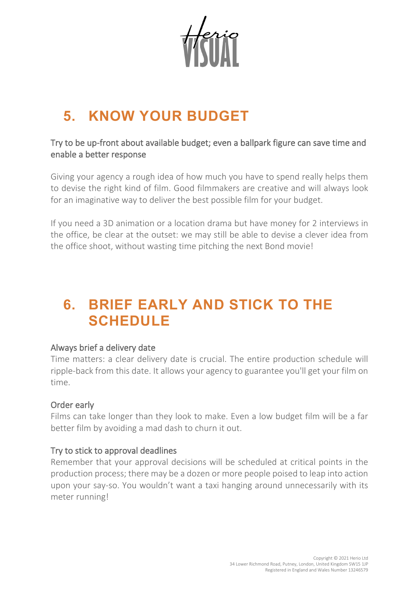# **5. KNOW YOUR BUDGET**

### Try to be up-front about available budget; even a ballpark figure can save time and enable a better response

Giving your agency a rough idea of how much you have to spend really helps them to devise the right kind of film. Good filmmakers are creative and will always look for an imaginative way to deliver the best possible film for your budget.

If you need a 3D animation or a location drama but have money for 2 interviews in the office, be clear at the outset: we may still be able to devise a clever idea from the office shoot, without wasting time pitching the next Bond movie!

## **6. BRIEF EARLY AND STICK TO THE SCHEDULE**

#### Always brief a delivery date

Time matters: a clear delivery date is crucial. The entire production schedule will ripple-back from this date. It allows your agency to guarantee you'll get your film on time.

### Order early

Films can take longer than they look to make. Even a low budget film will be a far better film by avoiding a mad dash to churn it out.

### Try to stick to approval deadlines

Remember that your approval decisions will be scheduled at critical points in the production process; there may be a dozen or more people poised to leap into action upon your say-so. You wouldn't want a taxi hanging around unnecessarily with its meter running!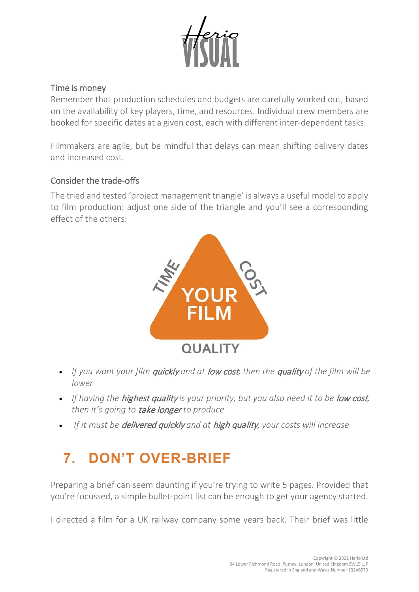

#### Time is money

Remember that production schedules and budgets are carefully worked out, based on the availability of key players, time, and resources. Individual crew members are booked for specific dates at a given cost, each with different inter-dependent tasks.

Filmmakers are [agile,](https://heriovisual.com/agility) but be mindful that delays can mean shifting delivery dates and increased cost.

#### Consider the trade-offs

The tried and tested 'project management triangle' is always a useful model to apply to film production: adjust one side of the triangle and you'll see a corresponding effect of the others:



- *If you want your film* quickly *and at* low cost*, then the* quality *of the film will be lower*
- If having the **highest quality** is your priority, but you also need it to be **low cost**, *then it's going to* take longer *to produce*
- *If it must be* delivered quickly *and at* high quality*, your costs will increase*

# **7. DON'T OVER-BRIEF**

Preparing a brief can seem daunting if you're trying to write 5 pages. Provided that you're focussed, a simple bullet-point list can be enough to get your agency started.

I directed a film for a UK railway company some years back. Their brief was little